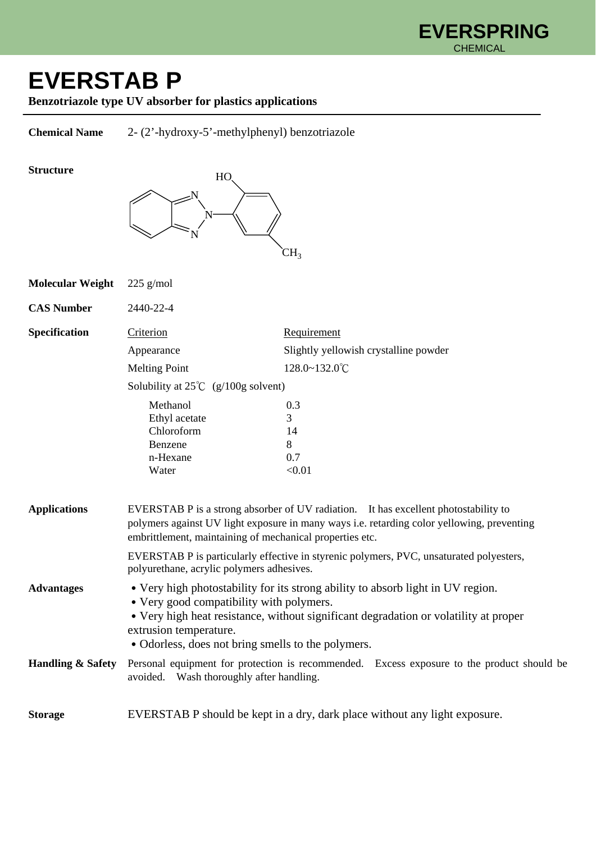

## **EVERSTAB P**

**Benzotriazole type UV absorber for plastics applications** 

**Chemical Name** 2- (2'-hydroxy-5'-methylphenyl) benzotriazole

## **Structure**



| <b>Molecular Weight</b>      | $225$ g/mol                                                                                                                                                                                                                                                                                         |                                                                                            |
|------------------------------|-----------------------------------------------------------------------------------------------------------------------------------------------------------------------------------------------------------------------------------------------------------------------------------------------------|--------------------------------------------------------------------------------------------|
| <b>CAS Number</b>            | 2440-22-4                                                                                                                                                                                                                                                                                           |                                                                                            |
| Specification                | Criterion                                                                                                                                                                                                                                                                                           | Requirement                                                                                |
|                              | Appearance                                                                                                                                                                                                                                                                                          | Slightly yellowish crystalline powder                                                      |
|                              | <b>Melting Point</b>                                                                                                                                                                                                                                                                                | 128.0~132.0°C                                                                              |
|                              | Solubility at $25^{\circ}C$ (g/100g solvent)                                                                                                                                                                                                                                                        |                                                                                            |
|                              | Methanol<br>Ethyl acetate<br>Chloroform<br>Benzene<br>n-Hexane<br>Water                                                                                                                                                                                                                             | 0.3<br>3<br>14<br>8<br>0.7<br>< 0.01                                                       |
| <b>Applications</b>          | EVERSTAB P is a strong absorber of UV radiation. It has excellent photostability to<br>polymers against UV light exposure in many ways i.e. retarding color yellowing, preventing<br>embrittlement, maintaining of mechanical properties etc.                                                       |                                                                                            |
|                              | EVERSTAB P is particularly effective in styrenic polymers, PVC, unsaturated polyesters,<br>polyurethane, acrylic polymers adhesives.                                                                                                                                                                |                                                                                            |
| <b>Advantages</b>            | • Very high photostability for its strong ability to absorb light in UV region.<br>• Very good compatibility with polymers.<br>• Very high heat resistance, without significant degradation or volatility at proper<br>extrusion temperature.<br>• Odorless, does not bring smells to the polymers. |                                                                                            |
| <b>Handling &amp; Safety</b> | avoided. Wash thoroughly after handling.                                                                                                                                                                                                                                                            | Personal equipment for protection is recommended. Excess exposure to the product should be |
| <b>Storage</b>               |                                                                                                                                                                                                                                                                                                     | EVERSTAB P should be kept in a dry, dark place without any light exposure.                 |